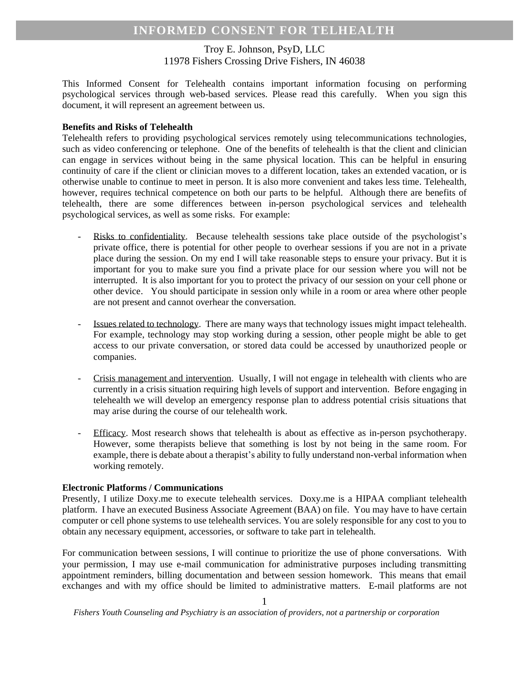# Troy E. Johnson, PsyD, LLC 11978 Fishers Crossing Drive Fishers, IN 46038

This Informed Consent for Telehealth contains important information focusing on performing psychological services through web-based services. Please read this carefully. When you sign this document, it will represent an agreement between us.

## **Benefits and Risks of Telehealth**

Telehealth refers to providing psychological services remotely using telecommunications technologies, such as video conferencing or telephone. One of the benefits of telehealth is that the client and clinician can engage in services without being in the same physical location. This can be helpful in ensuring continuity of care if the client or clinician moves to a different location, takes an extended vacation, or is otherwise unable to continue to meet in person. It is also more convenient and takes less time. Telehealth, however, requires technical competence on both our parts to be helpful. Although there are benefits of telehealth, there are some differences between in-person psychological services and telehealth psychological services, as well as some risks. For example:

- Risks to confidentiality. Because telehealth sessions take place outside of the psychologist's private office, there is potential for other people to overhear sessions if you are not in a private place during the session. On my end I will take reasonable steps to ensure your privacy. But it is important for you to make sure you find a private place for our session where you will not be interrupted. It is also important for you to protect the privacy of our session on your cell phone or other device. You should participate in session only while in a room or area where other people are not present and cannot overhear the conversation.
- Issues related to technology. There are many ways that technology issues might impact telehealth. For example, technology may stop working during a session, other people might be able to get access to our private conversation, or stored data could be accessed by unauthorized people or companies.
- Crisis management and intervention. Usually, I will not engage in telehealth with clients who are currently in a crisis situation requiring high levels of support and intervention. Before engaging in telehealth we will develop an emergency response plan to address potential crisis situations that may arise during the course of our telehealth work.
- Efficacy. Most research shows that telehealth is about as effective as in-person psychotherapy. However, some therapists believe that something is lost by not being in the same room. For example, there is debate about a therapist's ability to fully understand non-verbal information when working remotely.

# **Electronic Platforms / Communications**

Presently, I utilize Doxy.me to execute telehealth services. Doxy.me is a HIPAA compliant telehealth platform. I have an executed Business Associate Agreement (BAA) on file. You may have to have certain computer or cell phone systems to use telehealth services. You are solely responsible for any cost to you to obtain any necessary equipment, accessories, or software to take part in telehealth.

For communication between sessions, I will continue to prioritize the use of phone conversations. With your permission, I may use e-mail communication for administrative purposes including transmitting appointment reminders, billing documentation and between session homework. This means that email exchanges and with my office should be limited to administrative matters. E-mail platforms are not

*Fishers Youth Counseling and Psychiatry is an association of providers, not a partnership or corporation*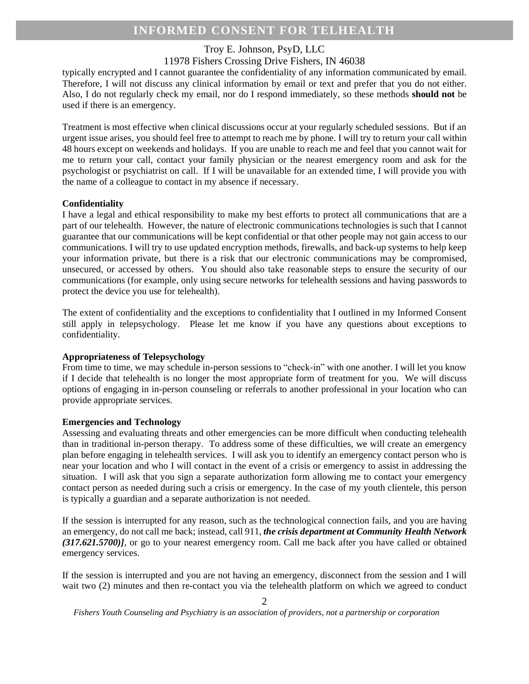# **INFORMED CONSENT FOR TELHEALTH**

## Troy E. Johnson, PsyD, LLC

# 11978 Fishers Crossing Drive Fishers, IN 46038

typically encrypted and I cannot guarantee the confidentiality of any information communicated by email. Therefore, I will not discuss any clinical information by email or text and prefer that you do not either. Also, I do not regularly check my email, nor do I respond immediately, so these methods **should not** be used if there is an emergency.

Treatment is most effective when clinical discussions occur at your regularly scheduled sessions. But if an urgent issue arises, you should feel free to attempt to reach me by phone. I will try to return your call within 48 hours except on weekends and holidays. If you are unable to reach me and feel that you cannot wait for me to return your call, contact your family physician or the nearest emergency room and ask for the psychologist or psychiatrist on call. If I will be unavailable for an extended time, I will provide you with the name of a colleague to contact in my absence if necessary.

### **Confidentiality**

I have a legal and ethical responsibility to make my best efforts to protect all communications that are a part of our telehealth. However, the nature of electronic communications technologies is such that I cannot guarantee that our communications will be kept confidential or that other people may not gain access to our communications. I will try to use updated encryption methods, firewalls, and back-up systems to help keep your information private, but there is a risk that our electronic communications may be compromised, unsecured, or accessed by others. You should also take reasonable steps to ensure the security of our communications (for example, only using secure networks for telehealth sessions and having passwords to protect the device you use for telehealth).

The extent of confidentiality and the exceptions to confidentiality that I outlined in my Informed Consent still apply in telepsychology. Please let me know if you have any questions about exceptions to confidentiality.

#### **Appropriateness of Telepsychology**

From time to time, we may schedule in-person sessions to "check-in" with one another. I will let you know if I decide that telehealth is no longer the most appropriate form of treatment for you. We will discuss options of engaging in in-person counseling or referrals to another professional in your location who can provide appropriate services.

## **Emergencies and Technology**

Assessing and evaluating threats and other emergencies can be more difficult when conducting telehealth than in traditional in-person therapy. To address some of these difficulties, we will create an emergency plan before engaging in telehealth services. I will ask you to identify an emergency contact person who is near your location and who I will contact in the event of a crisis or emergency to assist in addressing the situation. I will ask that you sign a separate authorization form allowing me to contact your emergency contact person as needed during such a crisis or emergency. In the case of my youth clientele, this person is typically a guardian and a separate authorization is not needed.

If the session is interrupted for any reason, such as the technological connection fails, and you are having an emergency, do not call me back; instead, call 911, *the crisis department at Community Health Network (317.621.5700)]*, or go to your nearest emergency room. Call me back after you have called or obtained emergency services.

If the session is interrupted and you are not having an emergency, disconnect from the session and I will wait two (2) minutes and then re-contact you via the telehealth platform on which we agreed to conduct

*Fishers Youth Counseling and Psychiatry is an association of providers, not a partnership or corporation*